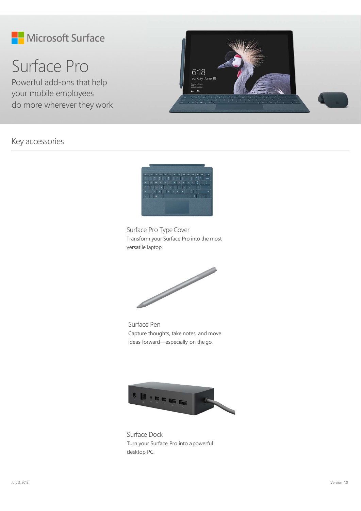







Turn your Surface Pro into apowerful